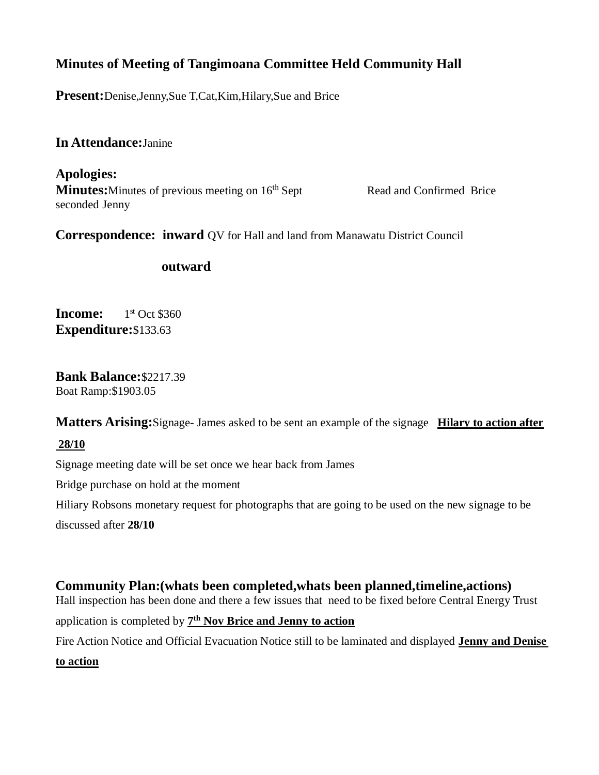# **Minutes of Meeting of Tangimoana Committee Held Community Hall**

**Present:**Denise,Jenny,Sue T,Cat,Kim,Hilary,Sue and Brice

## **In Attendance:**Janine

**Apologies: Minutes:** Minutes of previous meeting on 16<sup>th</sup> Sept Read and Confirmed Brice seconded Jenny

**Correspondence: inward** QV for Hall and land from Manawatu District Council

### **outward**

**Income:**  $1<sup>st</sup>$  Oct \$360 **Expenditure:**\$133.63

**Bank Balance:**\$2217.39 Boat Ramp:\$1903.05

**Matters Arising:**Signage- James asked to be sent an example of the signage **Hilary to action after**

### **28/10**

Signage meeting date will be set once we hear back from James

Bridge purchase on hold at the moment

Hiliary Robsons monetary request for photographs that are going to be used on the new signage to be

discussed after **28/10**

## **Community Plan:(whats been completed,whats been planned,timeline,actions)**

Hall inspection has been done and there a few issues that need to be fixed before Central Energy Trust application is completed by **7 th Nov Brice and Jenny to action**

Fire Action Notice and Official Evacuation Notice still to be laminated and displayed **Jenny and Denise** 

#### **to action**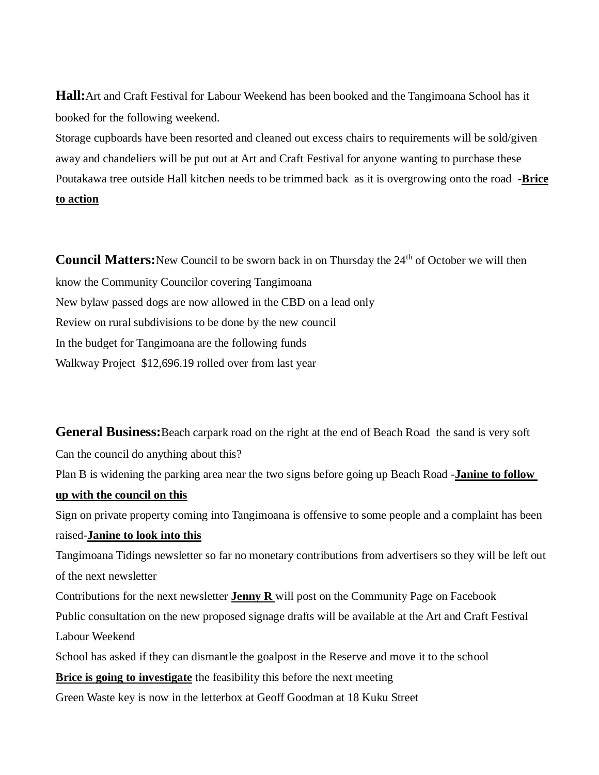**Hall:**Art and Craft Festival for Labour Weekend has been booked and the Tangimoana School has it booked for the following weekend.

Storage cupboards have been resorted and cleaned out excess chairs to requirements will be sold/given away and chandeliers will be put out at Art and Craft Festival for anyone wanting to purchase these Poutakawa tree outside Hall kitchen needs to be trimmed back as it is overgrowing onto the road -**Brice to action**

**Council Matters:**New Council to be sworn back in on Thursday the 24<sup>th</sup> of October we will then know the Community Councilor covering Tangimoana New bylaw passed dogs are now allowed in the CBD on a lead only Review on rural subdivisions to be done by the new council In the budget for Tangimoana are the following funds Walkway Project \$12,696.19 rolled over from last year

**General Business:**Beach carpark road on the right at the end of Beach Road the sand is very soft Can the council do anything about this? Plan B is widening the parking area near the two signs before going up Beach Road -**Janine to follow up with the council on this** Sign on private property coming into Tangimoana is offensive to some people and a complaint has been raised-**Janine to look into this** Tangimoana Tidings newsletter so far no monetary contributions from advertisers so they will be left out of the next newsletter Contributions for the next newsletter **Jenny R** will post on the Community Page on Facebook Public consultation on the new proposed signage drafts will be available at the Art and Craft Festival Labour Weekend

School has asked if they can dismantle the goalpost in the Reserve and move it to the school

**Brice is going to investigate** the feasibility this before the next meeting

Green Waste key is now in the letterbox at Geoff Goodman at 18 Kuku Street